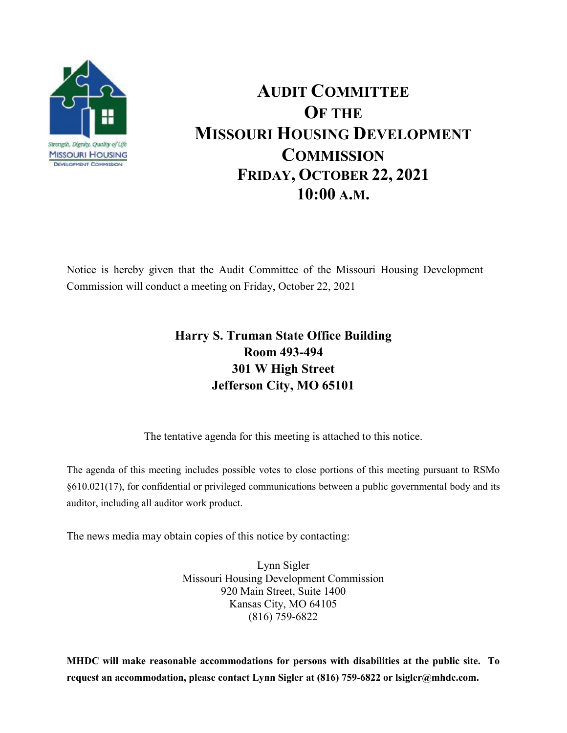

## **AUDIT COMMITTEE OF THE MISSOURI HOUSING DEVELOPMENT COMMISSION FRIDAY, OCTOBER 22, 2021 10:00 A.M.**

Notice is hereby given that the Audit Committee of the Missouri Housing Development Commission will conduct a meeting on Friday, October 22, 2021

## **Harry S. Truman State Office Building Room 493-494 301 W High Street Jefferson City, MO 65101**

The tentative agenda for this meeting is attached to this notice.

The agenda of this meeting includes possible votes to close portions of this meeting pursuant to RSMo §610.021(17), for confidential or privileged communications between a public governmental body and its auditor, including all auditor work product.

The news media may obtain copies of this notice by contacting:

Lynn Sigler Missouri Housing Development Commission 920 Main Street, Suite 1400 Kansas City, MO 64105 (816) 759-6822

**MHDC will make reasonable accommodations for persons with disabilities at the public site. To request an accommodation, please contact Lynn Sigler at (816) 759-6822 or lsigler@mhdc.com.**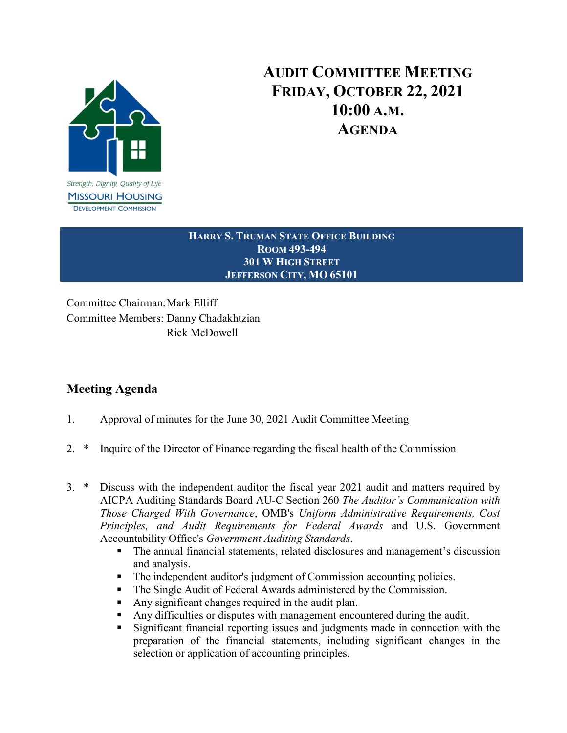

## **AUDIT COMMITTEE MEETING FRIDAY, OCTOBER 22, 2021 10:00 A.M. AGENDA**

**HARRY S. TRUMAN STATE OFFICE BUILDING ROOM 493-494 301 W HIGH STREET JEFFERSON CITY, MO 65101**

Committee Chairman:Mark Elliff Committee Members: Danny Chadakhtzian Rick McDowell

## **Meeting Agenda**

- 1. Approval of minutes for the June 30, 2021 Audit Committee Meeting
- 2. \* Inquire of the Director of Finance regarding the fiscal health of the Commission
- 3. \* Discuss with the independent auditor the fiscal year 2021 audit and matters required by AICPA Auditing Standards Board AU-C Section 260 *The Auditor's Communication with Those Charged With Governance*, OMB's *Uniform Administrative Requirements, Cost Principles, and Audit Requirements for Federal Awards* and U.S. Government Accountability Office's *Government Auditing Standards*.
	- The annual financial statements, related disclosures and management's discussion and analysis.
	- The independent auditor's judgment of Commission accounting policies.
	- The Single Audit of Federal Awards administered by the Commission.
	- Any significant changes required in the audit plan.
	- Any difficulties or disputes with management encountered during the audit.
	- Significant financial reporting issues and judgments made in connection with the preparation of the financial statements, including significant changes in the selection or application of accounting principles.